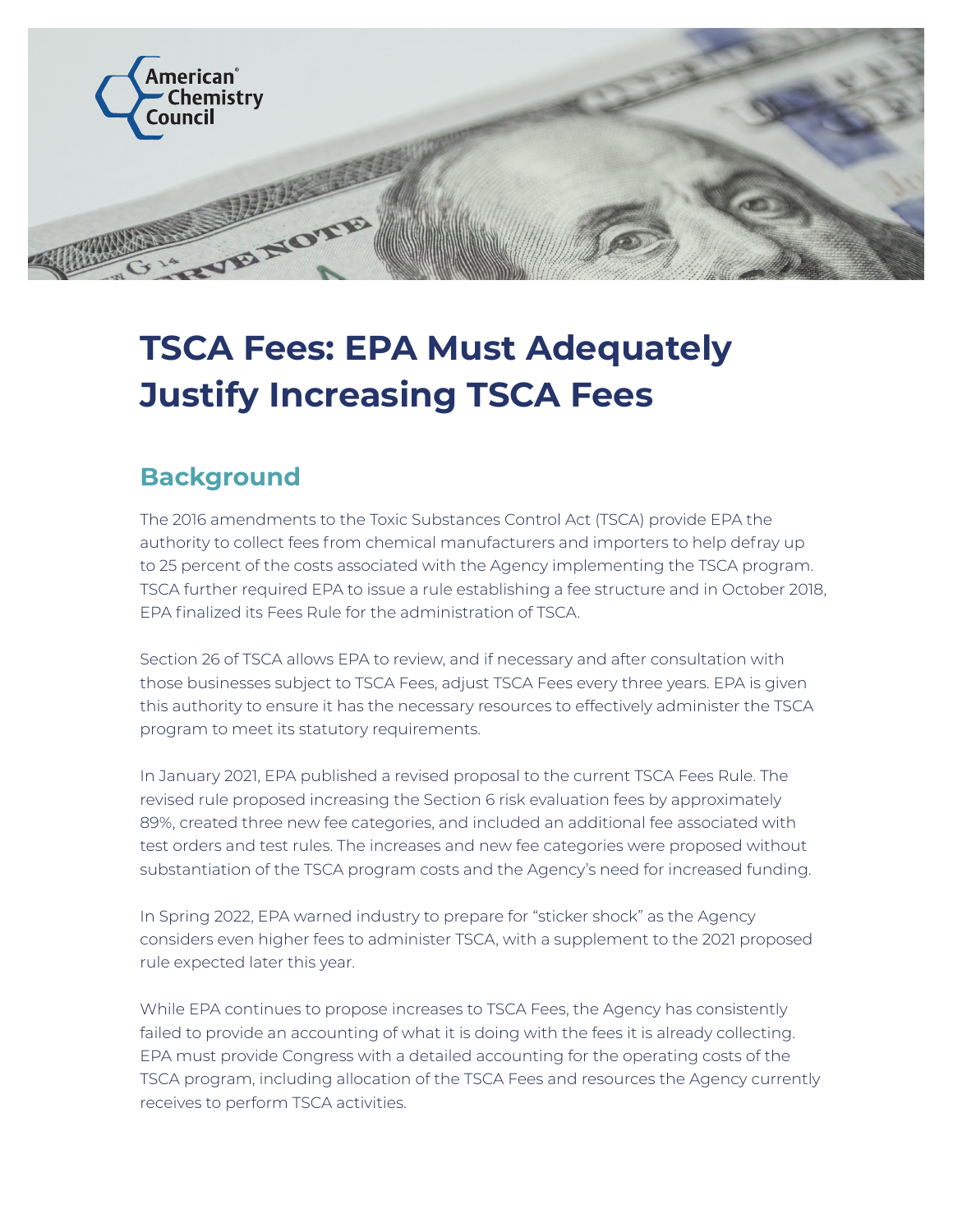

## **TSCA Fees: EPA Must Adequately Justify Increasing TSCA Fees**

## **Background**

The 2016 amendments to the Toxic Substances Control Act (TSCA) provide EPA the authority to collect fees from chemical manufacturers and importers to help defray up to 25 percent of the costs associated with the Agency implementing the TSCA program. TSCA further required EPA to issue a rule establishing a fee structure and in October 2018, EPA finalized its Fees Rule for the administration of TSCA.

Section 26 of TSCA allows EPA to review, and if necessary and after consultation with those businesses subject to TSCA Fees, adjust TSCA Fees every three years. EPA is given this authority to ensure it has the necessary resources to effectively administer the TSCA program to meet its statutory requirements.

In January 2021, EPA published a revised proposal to the current TSCA Fees Rule. The revised rule proposed increasing the Section 6 risk evaluation fees by approximately 89%, created three new fee categories, and included an additional fee associated with test orders and test rules. The increases and new fee categories were proposed without substantiation of the TSCA program costs and the Agency's need for increased funding.

In Spring 2022, EPA warned industry to prepare for "sticker shock" as the Agency considers even higher fees to administer TSCA, with a supplement to the 2021 proposed rule expected later this year.

While EPA continues to propose increases to TSCA Fees, the Agency has consistently failed to provide an accounting of what it is doing with the fees it is already collecting. EPA must provide Congress with a detailed accounting for the operating costs of the TSCA program, including allocation of the TSCA Fees and resources the Agency currently receives to perform TSCA activities.